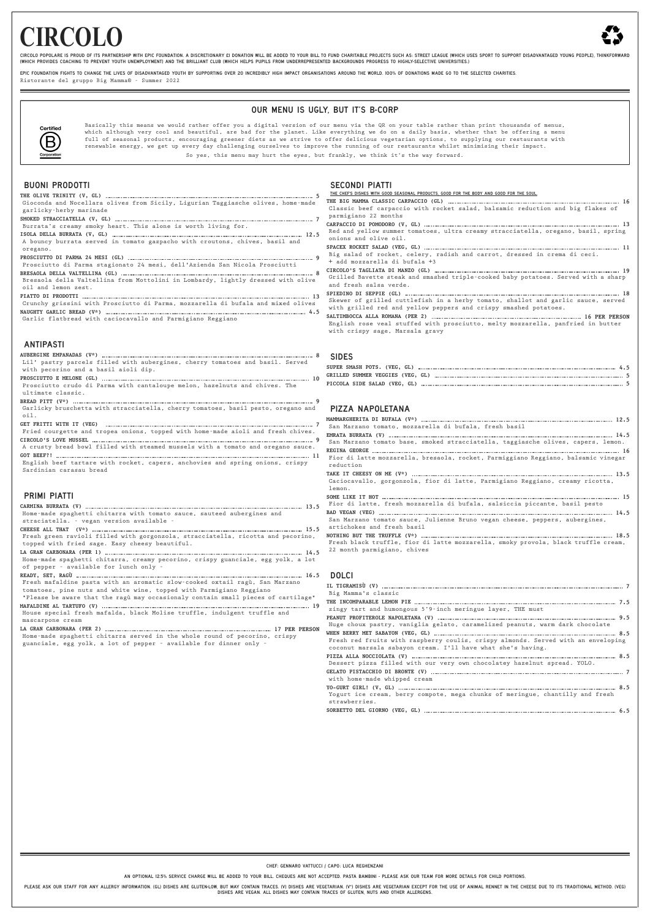# **CIRCOLO**



CIRCOLO POPOLARE IS PROUD OF ITS PARTNERSHIP WITH EPIC FOUNDATION. A DISCRETIONARY £1 DONATION WILL BE ADDED TO YOUR BILL TO FUND CHARITABLE PROJECTS SUCH AS: STREET LEAGUE (WHICH USES SPORT TO SUPPORT DISADVANTAGED YOUNG (WHICH PROVIDES COACHING TO PREVENT YOUTH UNEMPLOYMENT) AND THE BRILLIANT CLUB (WHICH HELPS PUPILS FROM UNDERREPRESENTED BACKGROUNDS PROGRESS TO HIGHLY-SELECTIVE UNIVERSITIES.)

FPIC FOUNDATION FIGHTS TO CHANGE THE LIVES OF DISADVANTAGED YOUTH BY SUPPORTING OVER 20 INCREDIBLY HIGH IMPACT ORGANISATIONS AROUND THE WORLD. 100% OF DONATIONS MADE GO TO THE SELECTED CHARITIES.

Ristorante del gruppo Big Mamma® - Summer 2022

# OUR MENU IS UGLY, BUT IT'S B-CORP



Basically this means we would rather offer you a digital version of our menu via the QR on your table rather than print thousands of menus, which although very cool and beautiful, are bad for the planet. Like everything we do on a daily basis, whether that be offering a menu full of seasonal products, encouraging greener diets as we strive to offer delicious vegetarian options, to supplying our restaurants with renewable energy, we get up every day challenging ourselves to improve the running of our restaurants whilst minimising their impact.

So yes, this menu may hurt the eyes, but frankly, we think it's the way forward.

### BUONI PRODOTTI

tomatoes, pine nuts and white wine, topped with Parmigiano Reggiano \*Please be aware that the ragù may occasionaly contain small pieces of cartilage\*

PLEASE ASK OUR STAFF FOR ANY ALLERGY INFORMATION. (GL) DISHES ARE GLUTEN-LOW, BUT MAY CONTAIN TRACES. (V) DISHES ARE VEGETARIAN. (V\*) DISHES ARE VEGETARIAN EXCEPT FOR THE USE OF ANIMAL RENNET IN THE CHEESE DUE TO ITS TRADI DISHES ARE VEGAN. ALL DISHES MAY CONTAIN TRACES OF GLUTEN, NUTS AND OTHER ALLERGENS.

|                                                                                                                            | THE CHEF'S DISHES WITH GOOD SEASONAL PRODUCTS, GOOD FOR THE BODY AND GOOD FOR THE SOUL.                      |
|----------------------------------------------------------------------------------------------------------------------------|--------------------------------------------------------------------------------------------------------------|
| Gioconda and Nocellara olives from Sicily, Ligurian Taggiasche olives, home-made                                           |                                                                                                              |
| garlicky-herby marinade                                                                                                    | Classic beef carpaccio with rocket salad, balsamic reduction and big flakes of                               |
|                                                                                                                            | parmigiano 22 months                                                                                         |
| Burrata's creamy smoky heart. This alone is worth living for.                                                              |                                                                                                              |
|                                                                                                                            | Red and yellow summer tomatoes, ultra creamy stracciatella, oregano, basil, spring                           |
| A bouncy burrata served in tomato gazpacho with croutons, chives, basil and                                                | onions and olive oil.                                                                                        |
| oregano.                                                                                                                   |                                                                                                              |
|                                                                                                                            | Big salad of rocket, celery, radish and carrot, dressed in crema di ceci.                                    |
| Prosciutto di Parma stagionato 24 mesi, dell'Azienda San Nicola Prosciutti                                                 | + add mozzarella di bufala +3                                                                                |
|                                                                                                                            |                                                                                                              |
| Bresaola della Valtellina from Mottolini in Lombardy, lightly dressed with olive                                           | Grilled Bavette steak and smashed triple-cooked baby potatoes. Served with a sharp<br>and fresh salsa verde. |
| oil and lemon zest.                                                                                                        |                                                                                                              |
|                                                                                                                            | Skewer of grilled cuttlefish in a herby tomato, shallot and garlic sauce, served                             |
| Crunchy grissini with Prosciutto di Parma, mozzarella di bufala and mixed olives                                           | with grilled red and yellow peppers and crispy smashed potatoes.                                             |
|                                                                                                                            |                                                                                                              |
| Garlic flatbread with caciocavallo and Parmigiano Reggiano                                                                 | English rose veal stuffed with prosciutto, melty mozzarella, panfried in butter                              |
|                                                                                                                            | with crispy sage, Marsala gravy                                                                              |
|                                                                                                                            |                                                                                                              |
| <b>ANTIPASTI</b>                                                                                                           |                                                                                                              |
|                                                                                                                            | <b>SIDES</b>                                                                                                 |
| Lil' pastry parcels filled with aubergines, cherry tomatoes and basil. Served                                              |                                                                                                              |
| with pecorino and a basil aioli dip.                                                                                       |                                                                                                              |
|                                                                                                                            |                                                                                                              |
| Prosciutto crudo di Parma with cantaloupe melon, hazelnuts and chives. The                                                 |                                                                                                              |
| ultimate classic.                                                                                                          |                                                                                                              |
|                                                                                                                            |                                                                                                              |
| Garlicky bruschetta with stracciatella, cherry tomatoes, basil pesto, oregano and                                          | PIZZA NAPOLETANA                                                                                             |
| $\circ$ il.                                                                                                                |                                                                                                              |
|                                                                                                                            | San Marzano tomato, mozzarella di bufala, fresh basil                                                        |
| Fried courgette and tropea onions, topped with home-made aioli and fresh chives.                                           |                                                                                                              |
| A crusty bread bowl filled with steamed mussels with a tomato and oregano sauce.                                           | San Marzano tomato base, smoked stracciatella, taggiasche olives, capers, lemon.                             |
|                                                                                                                            |                                                                                                              |
| English beef tartare with rocket, capers, anchovies and spring onions, crispy                                              | Fior di latte mozzarella, bresaola, rocket, Parmiggiano Reggiano, balsamic vinegar                           |
| Sardinian carasau bread                                                                                                    | reduction                                                                                                    |
|                                                                                                                            |                                                                                                              |
|                                                                                                                            | Caciocavallo, gorgonzola, fior di latte, Parmigiano Reggiano, creamy ricotta,                                |
|                                                                                                                            | lemon.                                                                                                       |
| <b>PRIMI PIATTI</b>                                                                                                        |                                                                                                              |
|                                                                                                                            | Fior di latte, fresh mozzarella di bufala, salsiccia piccante, basil pesto                                   |
| Home-made spaghetti chitarra with tomato sauce, sauteed aubergines and                                                     |                                                                                                              |
| straciatella. - vegan version available -                                                                                  | San Marzano tomato sauce, Julienne Bruno vegan cheese, peppers, aubergines,<br>artichokes and fresh basil    |
|                                                                                                                            |                                                                                                              |
| Fresh green ravioli filled with gorgonzola, stracciatella, ricotta and pecorino,                                           | Fresh black truffle, fior di latte mozzarella, smoky provola, black truffle cream,                           |
| topped with fried sage. Easy cheesy beautiful.                                                                             | 22 month parmigiano, chives                                                                                  |
|                                                                                                                            |                                                                                                              |
| Home-made spaghetti chitarra, creamy pecorino, crispy guanciale, egg yolk, a lot<br>of pepper - available for lunch only - |                                                                                                              |
|                                                                                                                            |                                                                                                              |
| Fresh mafaldine pasta with an aromatic slow-cooked oxtail ragù, San Marzano                                                | <b>DOLCI</b>                                                                                                 |
|                                                                                                                            |                                                                                                              |

**MAFALDINE AL TARTUFO (V) 19** House special fresh mafalda, black Molise truffle, indulgent truffle and mascarpone cream

**LA GRAN CARBONARA (PER 2) 17 PER PERSON** Home-made spaghetti chitarra served in the whole round of pecorino, crispy guanciale, egg yolk, a lot of pepper – available for dinner only –

### SECONDI PIATTI

Big Mamma's classic

**THE INCOMPARABLE LEMON PIE 7.5**

zingy tart and humongous 5'9-inch meringue layer, THE must

**PEANUT PROFITEROLE NAPOLETANA (V) 9.5** Huge choux pastry, vaniglia gelato, caramelized peanuts, warm dark chocolate

**WHEN BERRY MET SABAYON (VEG, GL) 8.5** Fresh red fruits with raspberry coulis, crispy almonds. Served with an enveloping coconut marsala sabayon cream. I'll have what she's having. **PIZZA ALLA NOCCIOLATA (V) 8.5** Dessert pizza filled with our very own chocolatey hazelnut spread. YOLO. **GELATO PISTACCHIO DI BRONTE (V) 7** with home-made whipped cream **YO-GURT GIRL! (V, GL) 8.5**

|               |  |  |  |  | Yogurt ice cream, berry compote, mega chunks of meringue, chantilly and fresh |  |  |
|---------------|--|--|--|--|-------------------------------------------------------------------------------|--|--|
| strawberries. |  |  |  |  |                                                                               |  |  |
|               |  |  |  |  |                                                                               |  |  |

CHEF: GENNARO VATTUCCI / CAPO: LUCA REGHENZANI

AN OPTIONAL 12.5% SERVICE CHARGE WILL BE ADDED TO YOUR BILL. CHEQUES ARE NOT ACCEPTED. PASTA BAMBINI - PLEASE ASK OUR TEAM FOR MORE DETAILS FOR CHILD PORTIONS.